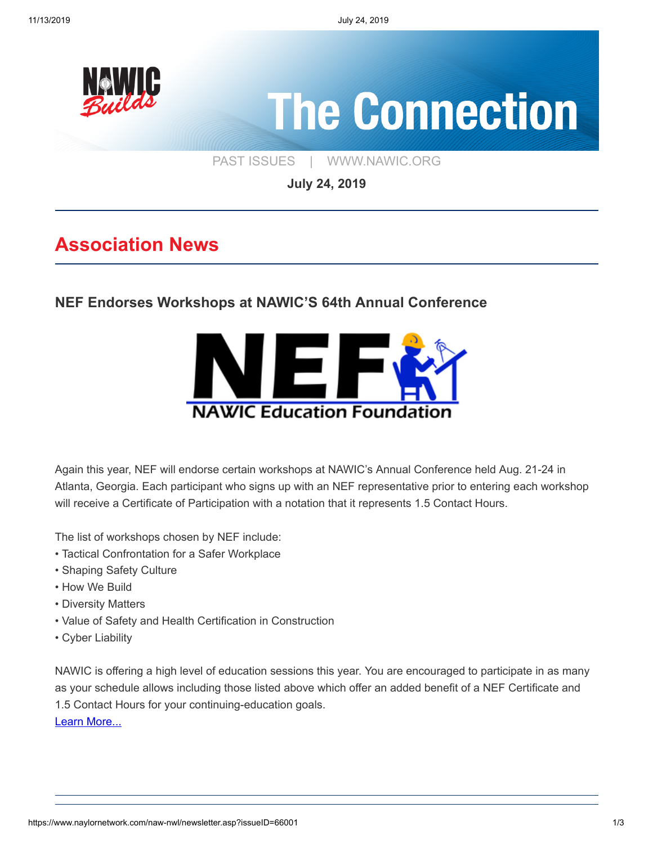

**July 24, 2019**

### **Association News**

**[NEF Endorses Workshops at NAWIC'S 64th Annual Conference](https://www.naylornetwork.com/naw-nwl/pdf/NAWIC_FinalLogo_111518OL.pdf)**



Again this year, NEF will endorse certain workshops at NAWIC's Annual Conference held Aug. 21-24 in Atlanta, Georgia. Each participant who signs up with an NEF representative prior to entering each workshop will receive a Certificate of Participation with a notation that it represents 1.5 Contact Hours.

The list of workshops chosen by NEF include:

- Tactical Confrontation for a Safer Workplace
- Shaping Safety Culture
- How We Build
- Diversity Matters
- Value of Safety and Health Certification in Construction
- Cyber Liability

NAWIC is offering a high level of education sessions this year. You are encouraged to participate in as many as your schedule allows including those listed above which offer an added benefit of a NEF Certificate and 1.5 Contact Hours for your continuing-education goals.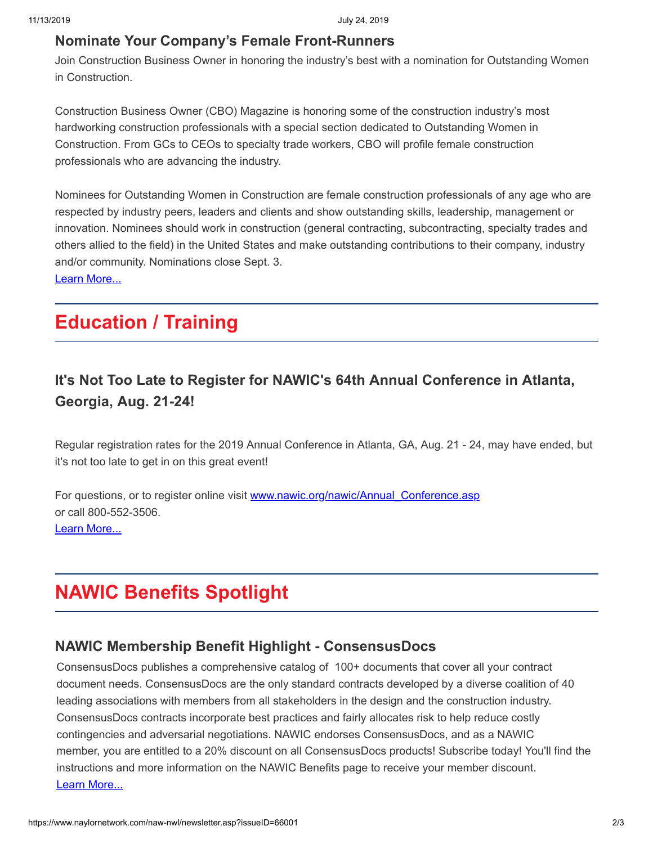#### **[Nominate Your Company's Female Front-Runners](https://www.constructionbusinessowner.com/nominate-outstanding-women-construction?oly_enc_id=6688E7252356I6A)**

Join Construction Business Owner in honoring the industry's best with a nomination for Outstanding Women in Construction.

Construction Business Owner (CBO) Magazine is honoring some of the construction industry's most hardworking construction professionals with a special section dedicated to Outstanding Women in Construction. From GCs to CEOs to specialty trade workers, CBO will profile female construction professionals who are advancing the industry.

Nominees for Outstanding Women in Construction are female construction professionals of any age who are respected by industry peers, leaders and clients and show outstanding skills, leadership, management or innovation. Nominees should work in construction (general contracting, subcontracting, specialty trades and others allied to the field) in the United States and make outstanding contributions to their company, industry and/or community. Nominations close Sept. 3.

[Learn More...](https://www.constructionbusinessowner.com/nominate-outstanding-women-construction?oly_enc_id=6688E7252356I6A)

## **Education / Training**

### **[It's Not Too Late to Register for NAWIC's 64th Annual Conference in Atlanta,](https://www.naylornetwork.com/naw-nwl/pdf/NAWIC_FinalLogo_111518OL.pdf) Georgia, Aug. 21-24!**

Regular registration rates for the 2019 Annual Conference in Atlanta, GA, Aug. 21 - 24, may have ended, but it's not too late to get in on this great event!

For questions, or to register online visit www.nawic.org/nawic/Annual Conference.asp or call 800-552-3506. [Learn More...](https://www.naylornetwork.com/naw-nwl/pdf/NAWIC_FinalLogo_111518OL.pdf)

# **NAWIC Benefits Spotlight**

#### **[NAWIC Membership Benefit Highlight - ConsensusDocs](https://www.naylornetwork.com/naw-nwl/pdf/consensus.pdf)**

ConsensusDocs publishes a comprehensive catalog of 100+ documents that cover all your contract document needs. ConsensusDocs are the only standard contracts developed by a diverse coalition of 40 leading associations with members from all stakeholders in the design and the construction industry. ConsensusDocs contracts incorporate best practices and fairly allocates risk to help reduce costly contingencies and adversarial negotiations. NAWIC endorses ConsensusDocs, and as a NAWIC member, you are entitled to a 20% discount on all ConsensusDocs products! Subscribe today! You'll find the instructions and more information on the NAWIC Benefits page to receive your member discount. [Learn More...](https://www.naylornetwork.com/naw-nwl/pdf/consensus.pdf)